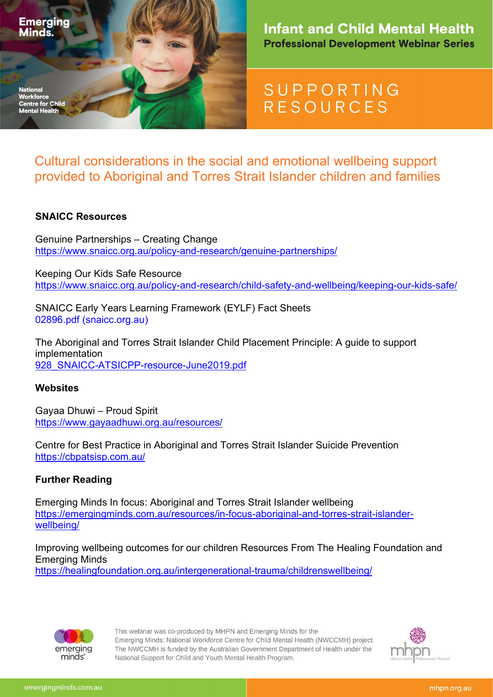

## **Infant and Child Mental Health Professional Development Webinar Series**

# **SUPPORTING RESOURCES**

Cultural considerations in the social and emotional wellbeing support provided to Aboriginal and Torres Strait Islander children and families

### SNAICC Resources

Genuine Partnerships – Creating Change https://www.snaicc.org.au/policy-and-research/genuine-partnerships/

Keeping Our Kids Safe Resource https://www.snaicc.org.au/policy-and-research/child-safety-and-wellbeing/keeping-our-kids-safe/

SNAICC Early Years Learning Framework (EYLF) Fact Sheets 02896.pdf (snaicc.org.au)

The Aboriginal and Torres Strait Islander Child Placement Principle: A guide to support implementation 928\_SNAICC-ATSICPP-resource-June2019.pdf

#### **Websites**

Gayaa Dhuwi – Proud Spirit https://www.gayaadhuwi.org.au/resources/

Centre for Best Practice in Aboriginal and Torres Strait Islander Suicide Prevention https://cbpatsisp.com.au/

#### Further Reading

Emerging Minds In focus: Aboriginal and Torres Strait Islander wellbeing https://emergingminds.com.au/resources/in-focus-aboriginal-and-torres-strait-islanderwellbeing/

Improving wellbeing outcomes for our children Resources From The Healing Foundation and Emerging Minds

https://healingfoundation.org.au/intergenerational-trauma/childrenswellbeing/



This webinar was co-produced by MHPN and Emerging Minds for the Emerging Minds: National Workforce Centre for Child Mental Health (NWCCMH) project. The NWCCMH is funded by the Australian Government Department of Health under the National Support for Child and Youth Mental Health Program.